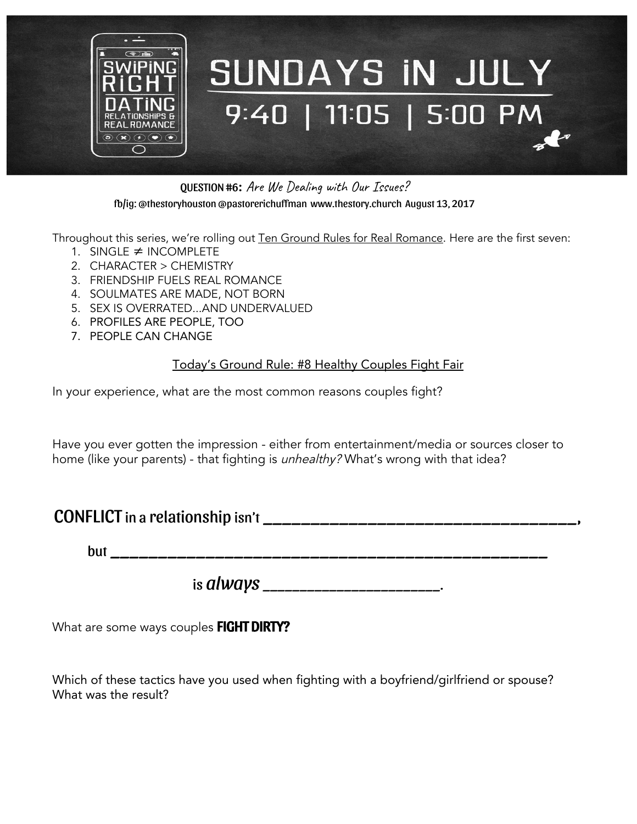

QUESTION #6: Are We Dealing with Our Issues? fb/ig: @thestoryhouston @pastorerichuffman [www.thestory.church](http://www.thestory.church/) August 13, 2017

Throughout this series, we're rolling out Ten Ground Rules for Real Romance. Here are the first seven:

- 1. SINGLE ≠ INCOMPLETE
- 2. CHARACTER > CHEMISTRY
- 3. FRIENDSHIP FUELS REAL ROMANCE
- 4. SOULMATES ARE MADE, NOT BORN
- 5. SEX IS OVERRATED...AND UNDERVALUED
- 6. PROFILES ARE PEOPLE, TOO
- 7. PEOPLE CAN CHANGE

## Today's Ground Rule: #8 Healthy Couples Fight Fair

In your experience, what are the most common reasons couples fight?

Have you ever gotten the impression - either from entertainment/media or sources closer to home (like your parents) - that fighting is *unhealthy?* What's wrong with that idea?

## $CONFLICT$  in a relationship isn't  $\frac{1}{2}$  =  $\frac{1}{2}$  =  $\frac{1}{2}$  =  $\frac{1}{2}$  =  $\frac{1}{2}$  =  $\frac{1}{2}$  =  $\frac{1}{2}$  =  $\frac{1}{2}$  =  $\frac{1}{2}$  =  $\frac{1}{2}$  =  $\frac{1}{2}$  =  $\frac{1}{2}$  =  $\frac{1}{2}$  =  $\frac{1}{2}$  =  $\frac{1}{2}$  =  $\frac{1}{2}$  =

but \_\_\_\_\_\_\_\_\_\_\_\_\_\_\_\_\_\_\_\_\_\_\_\_\_\_\_\_\_\_\_\_\_\_\_\_\_\_\_\_\_\_\_\_\_\_

is *always* \_\_\_\_\_\_\_\_\_\_\_\_\_\_\_\_\_\_\_\_\_\_\_\_.

What are some ways couples FIGHT DIRTY?

Which of these tactics have you used when fighting with a boyfriend/girlfriend or spouse? What was the result?